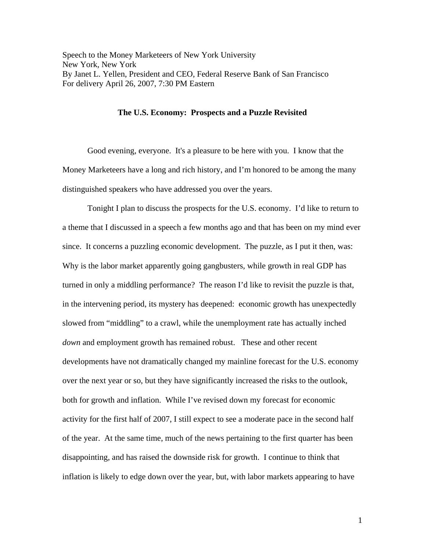Speech to the Money Marketeers of New York University New York, New York By Janet L. Yellen, President and CEO, Federal Reserve Bank of San Francisco For delivery April 26, 2007, 7:30 PM Eastern

## **The U.S. Economy: Prospects and a Puzzle Revisited**

 Good evening, everyone. It's a pleasure to be here with you. I know that the Money Marketeers have a long and rich history, and I'm honored to be among the many distinguished speakers who have addressed you over the years.

Tonight I plan to discuss the prospects for the U.S. economy. I'd like to return to a theme that I discussed in a speech a few months ago and that has been on my mind ever since. It concerns a puzzling economic development. The puzzle, as I put it then, was: Why is the labor market apparently going gangbusters, while growth in real GDP has turned in only a middling performance? The reason I'd like to revisit the puzzle is that, in the intervening period, its mystery has deepened: economic growth has unexpectedly slowed from "middling" to a crawl, while the unemployment rate has actually inched *down* and employment growth has remained robust. These and other recent developments have not dramatically changed my mainline forecast for the U.S. economy over the next year or so, but they have significantly increased the risks to the outlook, both for growth and inflation. While I've revised down my forecast for economic activity for the first half of 2007, I still expect to see a moderate pace in the second half of the year. At the same time, much of the news pertaining to the first quarter has been disappointing, and has raised the downside risk for growth. I continue to think that inflation is likely to edge down over the year, but, with labor markets appearing to have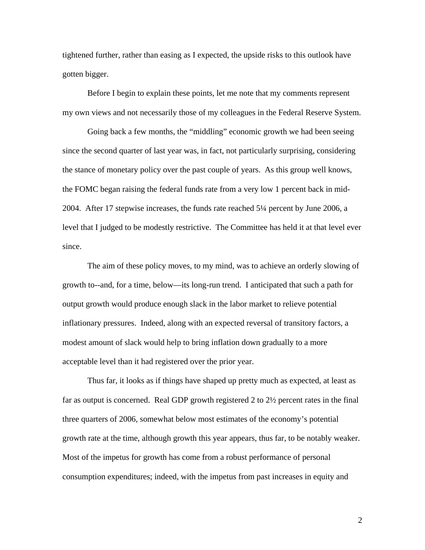tightened further, rather than easing as I expected, the upside risks to this outlook have gotten bigger.

 Before I begin to explain these points, let me note that my comments represent my own views and not necessarily those of my colleagues in the Federal Reserve System.

 Going back a few months, the "middling" economic growth we had been seeing since the second quarter of last year was, in fact, not particularly surprising, considering the stance of monetary policy over the past couple of years. As this group well knows, the FOMC began raising the federal funds rate from a very low 1 percent back in mid-2004. After 17 stepwise increases, the funds rate reached 5¼ percent by June 2006, a level that I judged to be modestly restrictive. The Committee has held it at that level ever since.

 The aim of these policy moves, to my mind, was to achieve an orderly slowing of growth to--and, for a time, below—its long-run trend. I anticipated that such a path for output growth would produce enough slack in the labor market to relieve potential inflationary pressures. Indeed, along with an expected reversal of transitory factors, a modest amount of slack would help to bring inflation down gradually to a more acceptable level than it had registered over the prior year.

 Thus far, it looks as if things have shaped up pretty much as expected, at least as far as output is concerned. Real GDP growth registered 2 to 2½ percent rates in the final three quarters of 2006, somewhat below most estimates of the economy's potential growth rate at the time, although growth this year appears, thus far, to be notably weaker. Most of the impetus for growth has come from a robust performance of personal consumption expenditures; indeed, with the impetus from past increases in equity and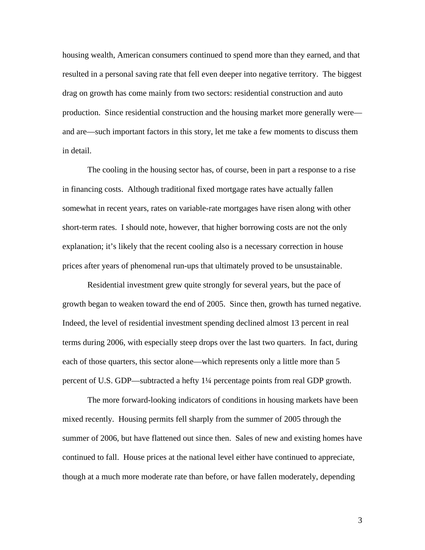housing wealth, American consumers continued to spend more than they earned, and that resulted in a personal saving rate that fell even deeper into negative territory. The biggest drag on growth has come mainly from two sectors: residential construction and auto production. Since residential construction and the housing market more generally were and are—such important factors in this story, let me take a few moments to discuss them in detail.

 The cooling in the housing sector has, of course, been in part a response to a rise in financing costs. Although traditional fixed mortgage rates have actually fallen somewhat in recent years, rates on variable-rate mortgages have risen along with other short-term rates. I should note, however, that higher borrowing costs are not the only explanation; it's likely that the recent cooling also is a necessary correction in house prices after years of phenomenal run-ups that ultimately proved to be unsustainable.

 Residential investment grew quite strongly for several years, but the pace of growth began to weaken toward the end of 2005. Since then, growth has turned negative. Indeed, the level of residential investment spending declined almost 13 percent in real terms during 2006, with especially steep drops over the last two quarters. In fact, during each of those quarters, this sector alone—which represents only a little more than 5 percent of U.S. GDP—subtracted a hefty 1¼ percentage points from real GDP growth.

The more forward-looking indicators of conditions in housing markets have been mixed recently. Housing permits fell sharply from the summer of 2005 through the summer of 2006, but have flattened out since then. Sales of new and existing homes have continued to fall. House prices at the national level either have continued to appreciate, though at a much more moderate rate than before, or have fallen moderately, depending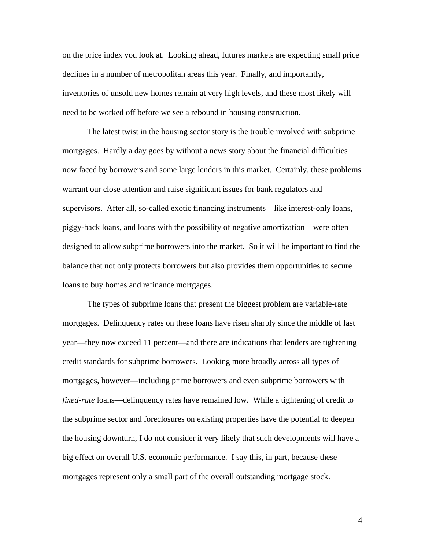on the price index you look at. Looking ahead, futures markets are expecting small price declines in a number of metropolitan areas this year. Finally, and importantly, inventories of unsold new homes remain at very high levels, and these most likely will need to be worked off before we see a rebound in housing construction.

 The latest twist in the housing sector story is the trouble involved with subprime mortgages. Hardly a day goes by without a news story about the financial difficulties now faced by borrowers and some large lenders in this market. Certainly, these problems warrant our close attention and raise significant issues for bank regulators and supervisors. After all, so-called exotic financing instruments—like interest-only loans, piggy-back loans, and loans with the possibility of negative amortization—were often designed to allow subprime borrowers into the market. So it will be important to find the balance that not only protects borrowers but also provides them opportunities to secure loans to buy homes and refinance mortgages.

 The types of subprime loans that present the biggest problem are variable-rate mortgages. Delinquency rates on these loans have risen sharply since the middle of last year—they now exceed 11 percent—and there are indications that lenders are tightening credit standards for subprime borrowers. Looking more broadly across all types of mortgages, however—including prime borrowers and even subprime borrowers with *fixed-rate* loans—delinquency rates have remained low. While a tightening of credit to the subprime sector and foreclosures on existing properties have the potential to deepen the housing downturn, I do not consider it very likely that such developments will have a big effect on overall U.S. economic performance. I say this, in part, because these mortgages represent only a small part of the overall outstanding mortgage stock.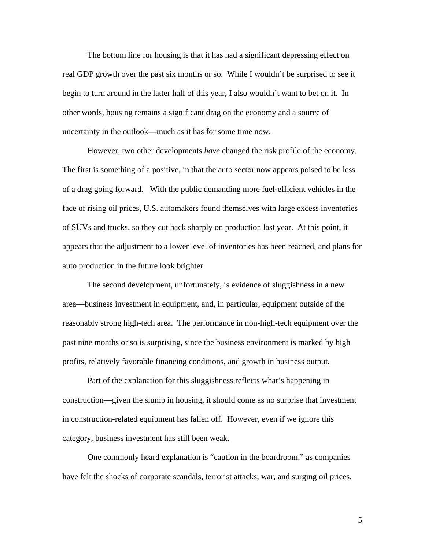The bottom line for housing is that it has had a significant depressing effect on real GDP growth over the past six months or so. While I wouldn't be surprised to see it begin to turn around in the latter half of this year, I also wouldn't want to bet on it. In other words, housing remains a significant drag on the economy and a source of uncertainty in the outlook—much as it has for some time now.

 However, two other developments *have* changed the risk profile of the economy. The first is something of a positive, in that the auto sector now appears poised to be less of a drag going forward. With the public demanding more fuel-efficient vehicles in the face of rising oil prices, U.S. automakers found themselves with large excess inventories of SUVs and trucks, so they cut back sharply on production last year. At this point, it appears that the adjustment to a lower level of inventories has been reached, and plans for auto production in the future look brighter.

 The second development, unfortunately, is evidence of sluggishness in a new area—business investment in equipment, and, in particular, equipment outside of the reasonably strong high-tech area. The performance in non-high-tech equipment over the past nine months or so is surprising, since the business environment is marked by high profits, relatively favorable financing conditions, and growth in business output.

 Part of the explanation for this sluggishness reflects what's happening in construction—given the slump in housing, it should come as no surprise that investment in construction-related equipment has fallen off. However, even if we ignore this category, business investment has still been weak.

One commonly heard explanation is "caution in the boardroom," as companies have felt the shocks of corporate scandals, terrorist attacks, war, and surging oil prices.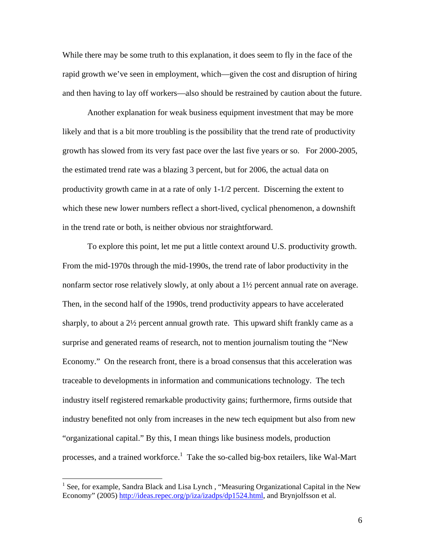While there may be some truth to this explanation, it does seem to fly in the face of the rapid growth we've seen in employment, which—given the cost and disruption of hiring and then having to lay off workers—also should be restrained by caution about the future.

 Another explanation for weak business equipment investment that may be more likely and that is a bit more troubling is the possibility that the trend rate of productivity growth has slowed from its very fast pace over the last five years or so. For 2000-2005, the estimated trend rate was a blazing 3 percent, but for 2006, the actual data on productivity growth came in at a rate of only 1-1/2 percent. Discerning the extent to which these new lower numbers reflect a short-lived, cyclical phenomenon, a downshift in the trend rate or both, is neither obvious nor straightforward.

 To explore this point, let me put a little context around U.S. productivity growth. From the mid-1970s through the mid-1990s, the trend rate of labor productivity in the nonfarm sector rose relatively slowly, at only about a 1½ percent annual rate on average. Then, in the second half of the 1990s, trend productivity appears to have accelerated sharply, to about a 2½ percent annual growth rate. This upward shift frankly came as a surprise and generated reams of research, not to mention journalism touting the "New Economy." On the research front, there is a broad consensus that this acceleration was traceable to developments in information and communications technology. The tech industry itself registered remarkable productivity gains; furthermore, firms outside that industry benefited not only from increases in the new tech equipment but also from new "organizational capital." By this, I mean things like business models, production processes, and a trained workforce.<sup>1</sup> Take the so-called big-box retailers, like Wal-Mart

 $\overline{a}$ 

<sup>&</sup>lt;sup>1</sup> See, for example, Sandra Black and Lisa Lynch, "Measuring Organizational Capital in the New Economy" (2005) http://ideas.repec.org/p/iza/izadps/dp1524.html, and Brynjolfsson et al.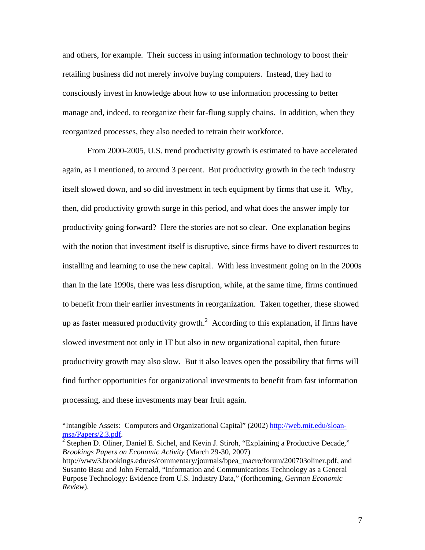and others, for example. Their success in using information technology to boost their retailing business did not merely involve buying computers. Instead, they had to consciously invest in knowledge about how to use information processing to better manage and, indeed, to reorganize their far-flung supply chains. In addition, when they reorganized processes, they also needed to retrain their workforce.

 From 2000-2005, U.S. trend productivity growth is estimated to have accelerated again, as I mentioned, to around 3 percent. But productivity growth in the tech industry itself slowed down, and so did investment in tech equipment by firms that use it. Why, then, did productivity growth surge in this period, and what does the answer imply for productivity going forward? Here the stories are not so clear. One explanation begins with the notion that investment itself is disruptive, since firms have to divert resources to installing and learning to use the new capital. With less investment going on in the 2000s than in the late 1990s, there was less disruption, while, at the same time, firms continued to benefit from their earlier investments in reorganization. Taken together, these showed up as faster measured productivity growth.<sup>2</sup> According to this explanation, if firms have slowed investment not only in IT but also in new organizational capital, then future productivity growth may also slow. But it also leaves open the possibility that firms will find further opportunities for organizational investments to benefit from fast information processing, and these investments may bear fruit again.

 $\overline{a}$ 

<sup>&</sup>quot;Intangible Assets: Computers and Organizational Capital" (2002) http://web.mit.edu/sloanmsa/Papers/2.3.pdf. 2

 $<sup>2</sup>$  Stephen D. Oliner, Daniel E. Sichel, and Kevin J. Stiroh, "Explaining a Productive Decade,"</sup> *Brookings Papers on Economic Activity* (March 29-30, 2007)

http://www3.brookings.edu/es/commentary/journals/bpea\_macro/forum/200703oliner.pdf, and Susanto Basu and John Fernald, "Information and Communications Technology as a General Purpose Technology: Evidence from U.S. Industry Data," (forthcoming, *German Economic Review*).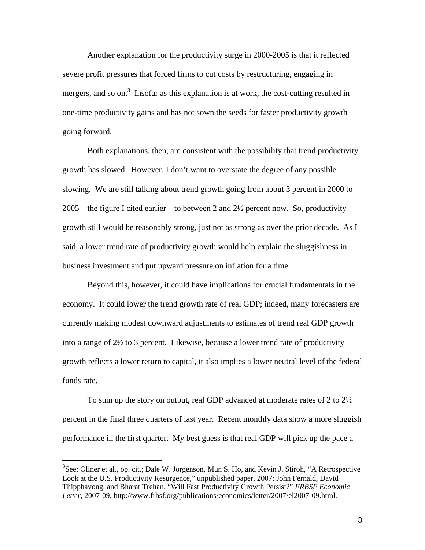Another explanation for the productivity surge in 2000-2005 is that it reflected severe profit pressures that forced firms to cut costs by restructuring, engaging in mergers, and so on.<sup>3</sup> Insofar as this explanation is at work, the cost-cutting resulted in one-time productivity gains and has not sown the seeds for faster productivity growth going forward.

 Both explanations, then, are consistent with the possibility that trend productivity growth has slowed. However, I don't want to overstate the degree of any possible slowing. We are still talking about trend growth going from about 3 percent in 2000 to 2005—the figure I cited earlier—to between 2 and 2½ percent now. So, productivity growth still would be reasonably strong, just not as strong as over the prior decade. As I said, a lower trend rate of productivity growth would help explain the sluggishness in business investment and put upward pressure on inflation for a time.

 Beyond this, however, it could have implications for crucial fundamentals in the economy. It could lower the trend growth rate of real GDP; indeed, many forecasters are currently making modest downward adjustments to estimates of trend real GDP growth into a range of 2½ to 3 percent. Likewise, because a lower trend rate of productivity growth reflects a lower return to capital, it also implies a lower neutral level of the federal funds rate.

 To sum up the story on output, real GDP advanced at moderate rates of 2 to 2½ percent in the final three quarters of last year. Recent monthly data show a more sluggish performance in the first quarter. My best guess is that real GDP will pick up the pace a

 $\overline{a}$ 

 $3$ See: Oliner et al., op. cit.; Dale W. Jorgenson, Mun S. Ho, and Kevin J. Stiroh, "A Retrospective Look at the U.S. Productivity Resurgence," unpublished paper, 2007; John Fernald, David Thipphavong, and Bharat Trehan, "Will Fast Productivity Growth Persist?" *FRBSF Economic Letter*, 2007-09, http://www.frbsf.org/publications/economics/letter/2007/el2007-09.html.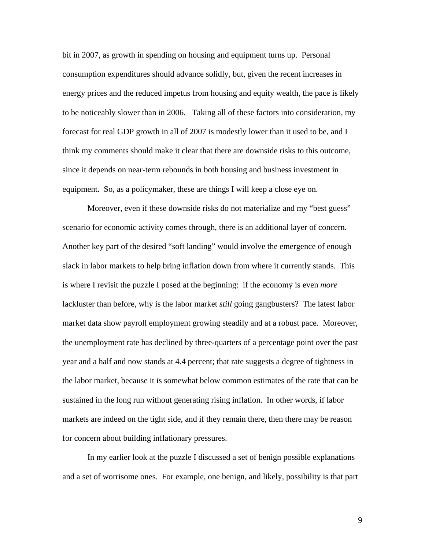bit in 2007, as growth in spending on housing and equipment turns up. Personal consumption expenditures should advance solidly, but, given the recent increases in energy prices and the reduced impetus from housing and equity wealth, the pace is likely to be noticeably slower than in 2006. Taking all of these factors into consideration, my forecast for real GDP growth in all of 2007 is modestly lower than it used to be, and I think my comments should make it clear that there are downside risks to this outcome, since it depends on near-term rebounds in both housing and business investment in equipment. So, as a policymaker, these are things I will keep a close eye on.

 Moreover, even if these downside risks do not materialize and my "best guess" scenario for economic activity comes through, there is an additional layer of concern. Another key part of the desired "soft landing" would involve the emergence of enough slack in labor markets to help bring inflation down from where it currently stands. This is where I revisit the puzzle I posed at the beginning: if the economy is even *more* lackluster than before, why is the labor market *still* going gangbusters? The latest labor market data show payroll employment growing steadily and at a robust pace. Moreover, the unemployment rate has declined by three-quarters of a percentage point over the past year and a half and now stands at 4.4 percent; that rate suggests a degree of tightness in the labor market, because it is somewhat below common estimates of the rate that can be sustained in the long run without generating rising inflation. In other words, if labor markets are indeed on the tight side, and if they remain there, then there may be reason for concern about building inflationary pressures.

 In my earlier look at the puzzle I discussed a set of benign possible explanations and a set of worrisome ones. For example, one benign, and likely, possibility is that part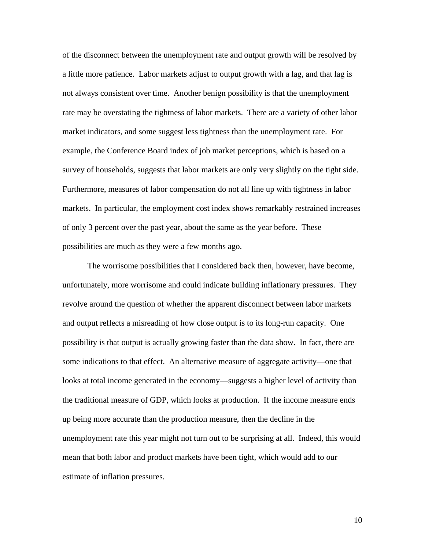of the disconnect between the unemployment rate and output growth will be resolved by a little more patience. Labor markets adjust to output growth with a lag, and that lag is not always consistent over time. Another benign possibility is that the unemployment rate may be overstating the tightness of labor markets. There are a variety of other labor market indicators, and some suggest less tightness than the unemployment rate. For example, the Conference Board index of job market perceptions, which is based on a survey of households, suggests that labor markets are only very slightly on the tight side. Furthermore, measures of labor compensation do not all line up with tightness in labor markets. In particular, the employment cost index shows remarkably restrained increases of only 3 percent over the past year, about the same as the year before. These possibilities are much as they were a few months ago.

The worrisome possibilities that I considered back then, however, have become, unfortunately, more worrisome and could indicate building inflationary pressures. They revolve around the question of whether the apparent disconnect between labor markets and output reflects a misreading of how close output is to its long-run capacity. One possibility is that output is actually growing faster than the data show. In fact, there are some indications to that effect. An alternative measure of aggregate activity—one that looks at total income generated in the economy—suggests a higher level of activity than the traditional measure of GDP, which looks at production. If the income measure ends up being more accurate than the production measure, then the decline in the unemployment rate this year might not turn out to be surprising at all. Indeed, this would mean that both labor and product markets have been tight, which would add to our estimate of inflation pressures.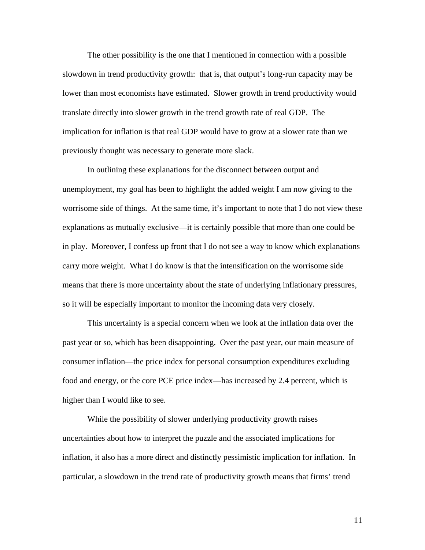The other possibility is the one that I mentioned in connection with a possible slowdown in trend productivity growth: that is, that output's long-run capacity may be lower than most economists have estimated. Slower growth in trend productivity would translate directly into slower growth in the trend growth rate of real GDP. The implication for inflation is that real GDP would have to grow at a slower rate than we previously thought was necessary to generate more slack.

 In outlining these explanations for the disconnect between output and unemployment, my goal has been to highlight the added weight I am now giving to the worrisome side of things. At the same time, it's important to note that I do not view these explanations as mutually exclusive—it is certainly possible that more than one could be in play. Moreover, I confess up front that I do not see a way to know which explanations carry more weight. What I do know is that the intensification on the worrisome side means that there is more uncertainty about the state of underlying inflationary pressures, so it will be especially important to monitor the incoming data very closely.

 This uncertainty is a special concern when we look at the inflation data over the past year or so, which has been disappointing. Over the past year, our main measure of consumer inflation—the price index for personal consumption expenditures excluding food and energy, or the core PCE price index—has increased by 2.4 percent, which is higher than I would like to see.

 While the possibility of slower underlying productivity growth raises uncertainties about how to interpret the puzzle and the associated implications for inflation, it also has a more direct and distinctly pessimistic implication for inflation. In particular, a slowdown in the trend rate of productivity growth means that firms' trend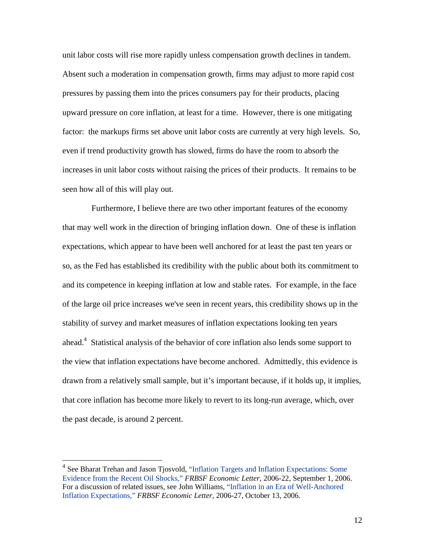unit labor costs will rise more rapidly unless compensation growth declines in tandem. Absent such a moderation in compensation growth, firms may adjust to more rapid cost pressures by passing them into the prices consumers pay for their products, placing upward pressure on core inflation, at least for a time. However, there is one mitigating factor: the markups firms set above unit labor costs are currently at very high levels. So, even if trend productivity growth has slowed, firms do have the room to absorb the increases in unit labor costs without raising the prices of their products. It remains to be seen how all of this will play out.

 Furthermore, I believe there are two other important features of the economy that may well work in the direction of bringing inflation down. One of these is inflation expectations, which appear to have been well anchored for at least the past ten years or so, as the Fed has established its credibility with the public about both its commitment to and its competence in keeping inflation at low and stable rates. For example, in the face of the large oil price increases we've seen in recent years, this credibility shows up in the stability of survey and market measures of inflation expectations looking ten years ahead.<sup>4</sup> Statistical analysis of the behavior of core inflation also lends some support to the view that inflation expectations have become anchored. Admittedly, this evidence is drawn from a relatively small sample, but it's important because, if it holds up, it implies, that core inflation has become more likely to revert to its long-run average, which, over the past decade, is around 2 percent.

<sup>&</sup>lt;sup>4</sup> See Bharat Trehan and Jason Tjosvold, "Inflation Targets and Inflation Expectations: Some Evidence from the Recent Oil Shocks," *FRBSF Economic Letter*, 2006-22, September 1, 2006. For a discussion of related issues, see John Williams, "Inflation in an Era of Well-Anchored Inflation Expectations," *FRBSF Economic Letter*, 2006-27, October 13, 2006.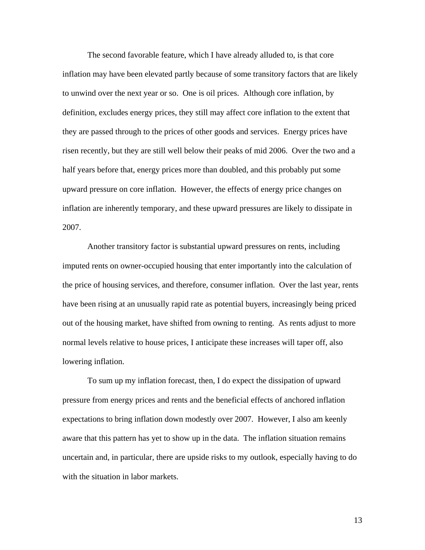The second favorable feature, which I have already alluded to, is that core inflation may have been elevated partly because of some transitory factors that are likely to unwind over the next year or so. One is oil prices. Although core inflation, by definition, excludes energy prices, they still may affect core inflation to the extent that they are passed through to the prices of other goods and services. Energy prices have risen recently, but they are still well below their peaks of mid 2006. Over the two and a half years before that, energy prices more than doubled, and this probably put some upward pressure on core inflation. However, the effects of energy price changes on inflation are inherently temporary, and these upward pressures are likely to dissipate in 2007.

 Another transitory factor is substantial upward pressures on rents, including imputed rents on owner-occupied housing that enter importantly into the calculation of the price of housing services, and therefore, consumer inflation. Over the last year, rents have been rising at an unusually rapid rate as potential buyers, increasingly being priced out of the housing market, have shifted from owning to renting. As rents adjust to more normal levels relative to house prices, I anticipate these increases will taper off, also lowering inflation.

 To sum up my inflation forecast, then, I do expect the dissipation of upward pressure from energy prices and rents and the beneficial effects of anchored inflation expectations to bring inflation down modestly over 2007. However, I also am keenly aware that this pattern has yet to show up in the data. The inflation situation remains uncertain and, in particular, there are upside risks to my outlook, especially having to do with the situation in labor markets.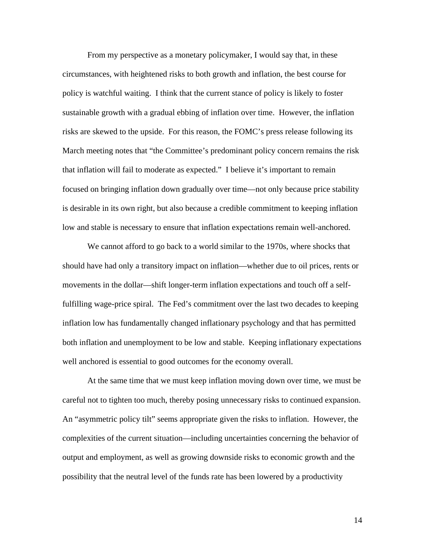From my perspective as a monetary policymaker, I would say that, in these circumstances, with heightened risks to both growth and inflation, the best course for policy is watchful waiting. I think that the current stance of policy is likely to foster sustainable growth with a gradual ebbing of inflation over time. However, the inflation risks are skewed to the upside. For this reason, the FOMC's press release following its March meeting notes that "the Committee's predominant policy concern remains the risk that inflation will fail to moderate as expected." I believe it's important to remain focused on bringing inflation down gradually over time—not only because price stability is desirable in its own right, but also because a credible commitment to keeping inflation low and stable is necessary to ensure that inflation expectations remain well-anchored.

We cannot afford to go back to a world similar to the 1970s, where shocks that should have had only a transitory impact on inflation—whether due to oil prices, rents or movements in the dollar—shift longer-term inflation expectations and touch off a selffulfilling wage-price spiral. The Fed's commitment over the last two decades to keeping inflation low has fundamentally changed inflationary psychology and that has permitted both inflation and unemployment to be low and stable. Keeping inflationary expectations well anchored is essential to good outcomes for the economy overall.

At the same time that we must keep inflation moving down over time, we must be careful not to tighten too much, thereby posing unnecessary risks to continued expansion. An "asymmetric policy tilt" seems appropriate given the risks to inflation. However, the complexities of the current situation—including uncertainties concerning the behavior of output and employment, as well as growing downside risks to economic growth and the possibility that the neutral level of the funds rate has been lowered by a productivity